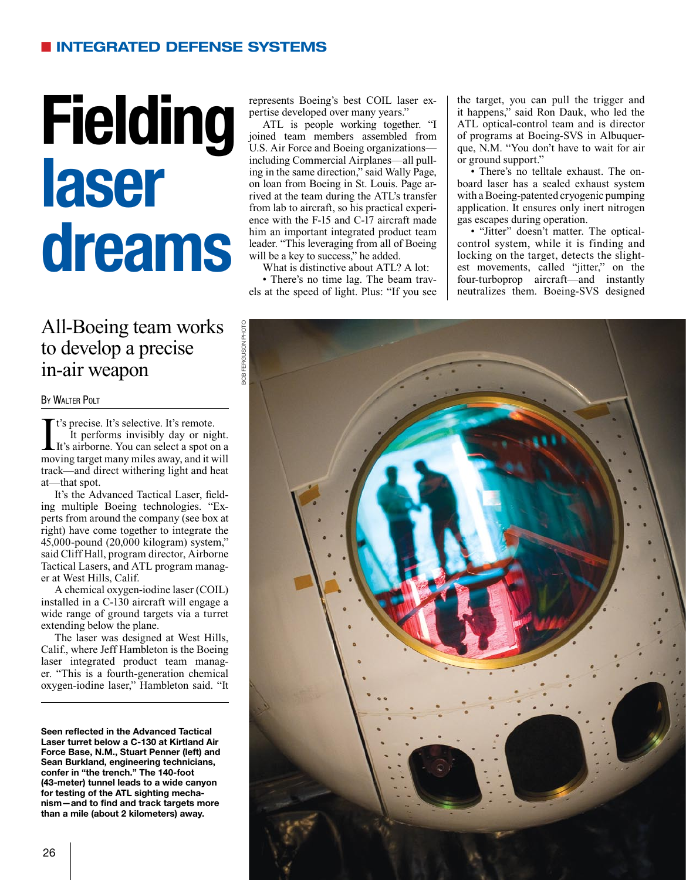## Fielding laser dreams

## All-Boeing team works to develop a precise in-air weapon

## **BY WALTER POLT**

It's precise. It's selective. It's remote.<br>It performs invisibly day or night.<br>It's airborne. You can select a spot on a<br>moving target many miles away, and it will t's precise. It's selective. It's remote. It performs invisibly day or night. It's airborne. You can select a spot on a track—and direct withering light and heat at—that spot.

It's the Advanced Tactical Laser, fielding multiple Boeing technologies. "Experts from around the company (see box at right) have come together to integrate the 45,000-pound (20,000 kilogram) system," said Cliff Hall, program director, Airborne Tactical Lasers, and ATL program manager at West Hills, Calif.

A chemical oxygen-iodine laser (COIL) installed in a C-130 aircraft will engage a wide range of ground targets via a turret extending below the plane.

The laser was designed at West Hills, Calif., where Jeff Hambleton is the Boeing laser integrated product team manager. "This is a fourth-generation chemical oxygen-iodine laser," Hambleton said. "It

Seen reflected in the Advanced Tactical Laser turret below a C-130 at Kirtland Air Force Base, N.M., Stuart Penner (left) and Sean Burkland, engineering technicians, confer in "the trench." The 140-foot (43-meter) tunnel leads to a wide canyon for testing of the ATL sighting mechanism—and to find and track targets more than a mile (about 2 kilometers) away.

represents Boeing's best COIL laser expertise developed over many years."

ATL is people working together. "I joined team members assembled from U.S. Air Force and Boeing organizations including Commercial Airplanes—all pulling in the same direction," said Wally Page, on loan from Boeing in St. Louis. Page arrived at the team during the ATL's transfer from lab to aircraft, so his practical experience with the F-15 and C-17 aircraft made him an important integrated product team leader. "This leveraging from all of Boeing will be a key to success," he added.

What is distinctive about ATL? A lot: • There's no time lag. The beam travels at the speed of light. Plus: "If you see the target, you can pull the trigger and it happens," said Ron Dauk, who led the ATL optical-control team and is director of programs at Boeing-SVS in Albuquerque, N.M. "You don't have to wait for air or ground support."

• There's no telltale exhaust. The onboard laser has a sealed exhaust system with a Boeing-patented cryogenic pumping application. It ensures only inert nitrogen gas escapes during operation.

• "Jitter" doesn't matter. The opticalcontrol system, while it is finding and locking on the target, detects the slightest movements, called "jitter," on the four-turboprop aircraft—and instantly neutralizes them. Boeing-SVS designed